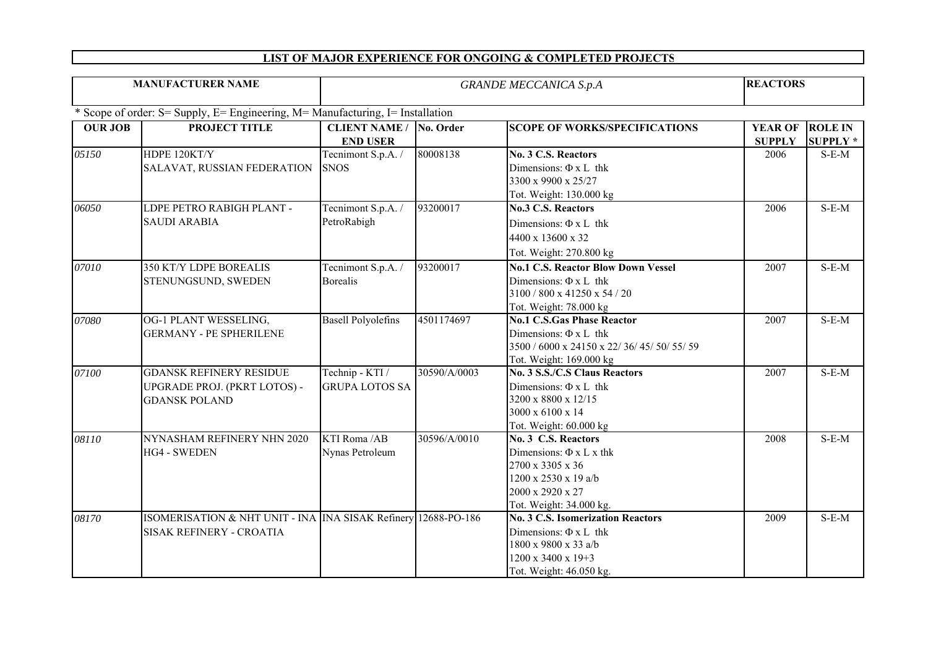## **LIST OF MAJOR EXPERIENCE FOR ONGOING & COMPLETED PROJECT S**

| <b>MANUFACTURER NAME</b>                                                       |                                                                                                   | <b>GRANDE MECCANICA S.p.A</b>            |              |                                                                                                                                                 |                                 | <b>REACTORS</b>                   |  |  |  |
|--------------------------------------------------------------------------------|---------------------------------------------------------------------------------------------------|------------------------------------------|--------------|-------------------------------------------------------------------------------------------------------------------------------------------------|---------------------------------|-----------------------------------|--|--|--|
| * Scope of order: S= Supply, E= Engineering, M= Manufacturing, I= Installation |                                                                                                   |                                          |              |                                                                                                                                                 |                                 |                                   |  |  |  |
| <b>OUR JOB</b>                                                                 | PROJECT TITLE                                                                                     | <b>CLIENT NAME /</b><br><b>END USER</b>  | No. Order    | <b>SCOPE OF WORKS/SPECIFICATIONS</b>                                                                                                            | <b>YEAR OF</b><br><b>SUPPLY</b> | <b>ROLE IN</b><br><b>SUPPLY *</b> |  |  |  |
| 05150                                                                          | HDPE 120KT/Y<br>SALAVAT, RUSSIAN FEDERATION                                                       | Tecnimont S.p.A. /<br><b>SNOS</b>        | 80008138     | No. 3 C.S. Reactors<br>Dimensions: $\Phi$ x L thk<br>3300 x 9900 x 25/27<br>Tot. Weight: 130.000 kg                                             | 2006                            | $S-E-M$                           |  |  |  |
| 06050                                                                          | LDPE PETRO RABIGH PLANT -<br><b>SAUDI ARABIA</b>                                                  | Tecnimont S.p.A. /<br>PetroRabigh        | 93200017     | <b>No.3 C.S. Reactors</b><br>Dimensions: $\Phi$ x L thk<br>4400 x 13600 x 32<br>Tot. Weight: 270.800 kg                                         | 2006                            | $S-E-M$                           |  |  |  |
| 07010                                                                          | <b>350 KT/Y LDPE BOREALIS</b><br>STENUNGSUND, SWEDEN                                              | Tecnimont S.p.A. /<br><b>Borealis</b>    | 93200017     | <b>No.1 C.S. Reactor Blow Down Vessel</b><br>Dimensions: $\Phi$ x L thk<br>3100 / 800 x 41250 x 54 / 20<br>Tot. Weight: 78.000 kg               | 2007                            | $S-E-M$                           |  |  |  |
| 07080                                                                          | OG-1 PLANT WESSELING,<br><b>GERMANY - PE SPHERILENE</b>                                           | <b>Basell Polyolefins</b>                | 4501174697   | <b>No.1 C.S.Gas Phase Reactor</b><br>Dimensions: $\Phi$ x L thk<br>3500 / 6000 x 24150 x 22/ 36/ 45/ 50/ 55/ 59<br>Tot. Weight: 169.000 kg      | 2007                            | $S-E-M$                           |  |  |  |
| 07100                                                                          | <b>GDANSK REFINERY RESIDUE</b><br>UPGRADE PROJ. (PKRT LOTOS) -<br><b>GDANSK POLAND</b>            | Technip - KTI /<br><b>GRUPA LOTOS SA</b> | 30590/A/0003 | <b>No. 3 S.S./C.S Claus Reactors</b><br>Dimensions: $\Phi$ x L thk<br>3200 x 8800 x 12/15<br>3000 x 6100 x 14<br>Tot. Weight: 60.000 kg         | 2007                            | $S-E-M$                           |  |  |  |
| 08110                                                                          | NYNASHAM REFINERY NHN 2020<br><b>HG4 - SWEDEN</b>                                                 | KTI Roma /AB<br>Nynas Petroleum          | 30596/A/0010 | No. 3 C.S. Reactors<br>Dimensions: $\Phi$ x L x thk<br>2700 x 3305 x 36<br>1200 x 2530 x 19 a/b<br>2000 x 2920 x 27<br>Tot. Weight: 34.000 kg.  | 2008                            | $S-E-M$                           |  |  |  |
| 08170                                                                          | ISOMERISATION & NHT UNIT - INA INA SISAK Refinery 12688-PO-186<br><b>SISAK REFINERY - CROATIA</b> |                                          |              | <b>No. 3 C.S. Isomerization Reactors</b><br>Dimensions: $\Phi$ x L thk<br>1800 x 9800 x 33 a/b<br>1200 x 3400 x 19+3<br>Tot. Weight: 46.050 kg. | 2009                            | $S-E-M$                           |  |  |  |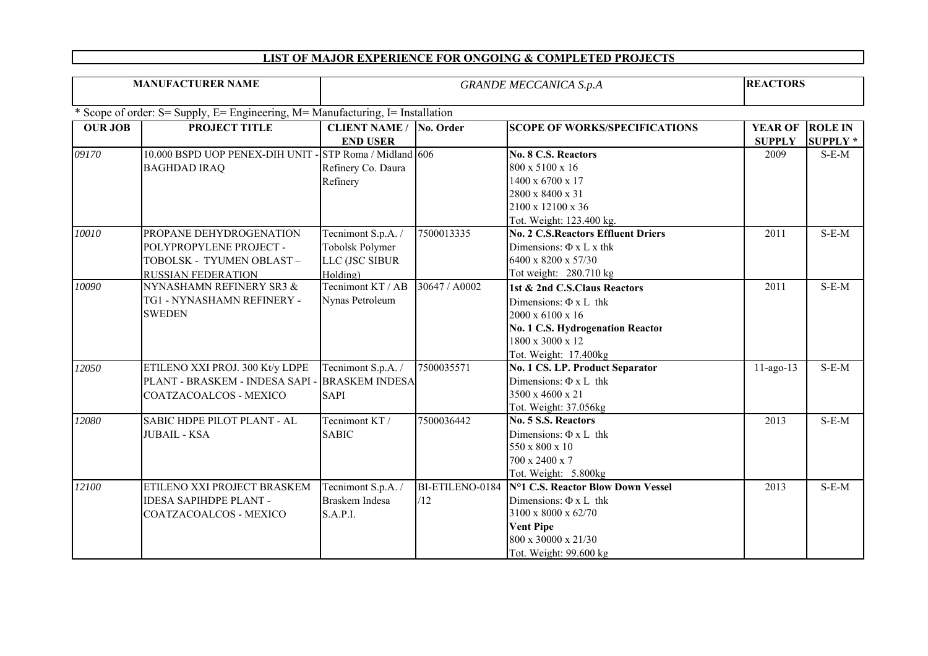## **LIST OF MAJOR EXPERIENCE FOR ONGOING & COMPLETED PROJECT S**

| <b>MANUFACTURER NAME</b>                                                       |                                                                                                              | <b>GRANDE MECCANICA S.p.A</b>                                       |               |                                                                                                                                                                             |                                 | <b>REACTORS</b>                  |  |  |  |
|--------------------------------------------------------------------------------|--------------------------------------------------------------------------------------------------------------|---------------------------------------------------------------------|---------------|-----------------------------------------------------------------------------------------------------------------------------------------------------------------------------|---------------------------------|----------------------------------|--|--|--|
| * Scope of order: S= Supply, E= Engineering, M= Manufacturing, I= Installation |                                                                                                              |                                                                     |               |                                                                                                                                                                             |                                 |                                  |  |  |  |
| <b>OUR JOB</b>                                                                 | PROJECT TITLE                                                                                                | <b>CLIENT NAME / No. Order</b><br><b>END USER</b>                   |               | <b>SCOPE OF WORKS/SPECIFICATIONS</b>                                                                                                                                        | <b>YEAR OF</b><br><b>SUPPLY</b> | <b>ROLE IN</b><br><b>SUPPLY*</b> |  |  |  |
| 09170                                                                          | 10.000 BSPD UOP PENEX-DIH UNIT - STP Roma / Midland 606<br><b>BAGHDAD IRAQ</b>                               | Refinery Co. Daura<br>Refinery                                      |               | <b>No. 8 C.S. Reactors</b><br>800 x 5100 x 16<br>1400 x 6700 x 17<br>2800 x 8400 x 31<br>2100 x 12100 x 36<br>Tot. Weight: 123.400 kg.                                      | 2009                            | $S-E-M$                          |  |  |  |
| 10010                                                                          | PROPANE DEHYDROGENATION<br>POLYPROPYLENE PROJECT -<br>TOBOLSK - TYUMEN OBLAST -<br><b>RUSSIAN FEDERATION</b> | Tecnimont S.p.A. /<br>Tobolsk Polymer<br>LLC (JSC SIBUR<br>Holding) | 7500013335    | <b>No. 2 C.S.Reactors Effluent Driers</b><br>Dimensions: $\Phi$ x L x thk<br>6400 x 8200 x 57/30<br>Tot weight: 280.710 kg                                                  | 2011                            | $S-E-M$                          |  |  |  |
| 10090                                                                          | NYNASHAMN REFINERY SR3 &<br>TG1 - NYNASHAMN REFINERY -<br><b>SWEDEN</b>                                      | Tecnimont KT / AB<br>Nynas Petroleum                                | 30647 / A0002 | 1st & 2nd C.S.Claus Reactors<br>Dimensions: $\Phi$ x L thk<br>2000 x 6100 x 16<br><b>No. 1 C.S. Hydrogenation Reactor</b><br>1800 x 3000 x 12<br>Tot. Weight: 17.400kg      | 2011                            | $S-E-M$                          |  |  |  |
| 12050                                                                          | ETILENO XXI PROJ. 300 Kt/y LDPE<br>PLANT - BRASKEM - INDESA SAPI -<br><b>COATZACOALCOS - MEXICO</b>          | Tecnimont S.p.A. /<br><b>BRASKEM INDESA</b><br><b>SAPI</b>          | 7500035571    | No. 1 CS. LP. Product Separator<br>Dimensions: $\Phi$ x L thk<br>3500 x 4600 x 21<br>Tot. Weight: 37.056kg                                                                  | $11$ -ago-13                    | $S-E-M$                          |  |  |  |
| 12080                                                                          | SABIC HDPE PILOT PLANT - AL<br><b>JUBAIL - KSA</b>                                                           | Tecnimont KT /<br><b>SABIC</b>                                      | 7500036442    | <b>No. 5 S.S. Reactors</b><br>Dimensions: $\Phi$ x L thk<br>550 x 800 x 10<br>700 x 2400 x 7<br>Tot. Weight: 5.800kg                                                        | 2013                            | $S-E-M$                          |  |  |  |
| 12100                                                                          | ETILENO XXI PROJECT BRASKEM<br><b>IDESA SAPIHDPE PLANT -</b><br>COATZACOALCOS - MEXICO                       | Tecnimont S.p.A. /<br><b>Braskem Indesa</b><br>S.A.P.I.             | /12           | BI-ETILENO-0184 N°1 C.S. Reactor Blow Down Vessel<br>Dimensions: $\Phi$ x L thk<br>3100 x 8000 x 62/70<br><b>Vent Pipe</b><br>800 x 30000 x 21/30<br>Tot. Weight: 99.600 kg | 2013                            | $S-E-M$                          |  |  |  |